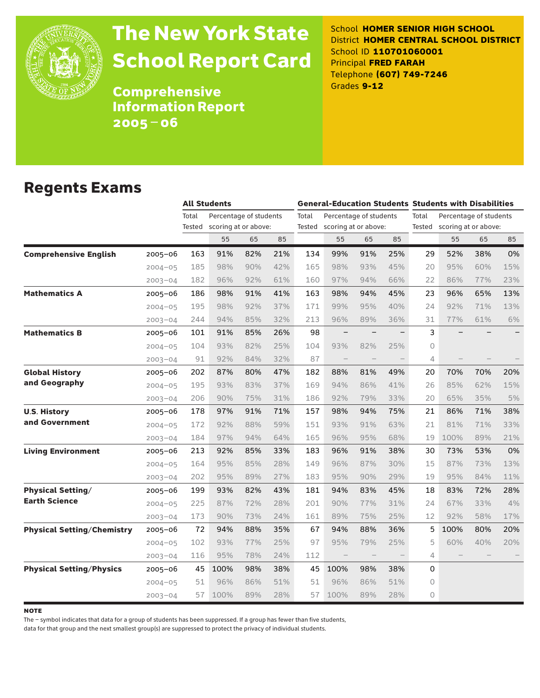

# The New York State School Report Card

School **HOMER SENIOR HIGH SCHOOL** District **HOMER CENTRAL SCHOOL DISTRICT** School ID **110701060001** Principal **FRED FARAH** Telephone **(607) 749-7246** Grades **9-12**

**Comprehensive** Information Report 2005–06

### Regents Exams

|                                   |             |        | <b>All Students</b>    |     |     |       | <b>General-Education Students Students with Disabilities</b> |                   |     |          |                        |                             |     |  |
|-----------------------------------|-------------|--------|------------------------|-----|-----|-------|--------------------------------------------------------------|-------------------|-----|----------|------------------------|-----------------------------|-----|--|
|                                   |             | Total  | Percentage of students |     |     | Total | Percentage of students                                       |                   |     | Total    | Percentage of students |                             |     |  |
|                                   |             | Tested | scoring at or above:   |     |     |       | Tested scoring at or above:                                  |                   |     |          |                        | Tested scoring at or above: |     |  |
|                                   |             |        | 55                     | 65  | 85  |       | 55                                                           | 65                | 85  |          | 55                     | 65                          | 85  |  |
| <b>Comprehensive English</b>      | 2005-06     | 163    | 91%                    | 82% | 21% | 134   | 99%                                                          | 91%               | 25% | 29       | 52%                    | 38%                         | 0%  |  |
|                                   | $2004 - 05$ | 185    | 98%                    | 90% | 42% | 165   | 98%                                                          | 93%               | 45% | 20       | 95%                    | 60%                         | 15% |  |
|                                   | $2003 - 04$ | 182    | 96%                    | 92% | 61% | 160   | 97%                                                          | 94%               | 66% | 22       | 86%                    | 77%                         | 23% |  |
| <b>Mathematics A</b>              | $2005 - 06$ | 186    | 98%                    | 91% | 41% | 163   | 98%                                                          | 94%               | 45% | 23       | 96%                    | 65%                         | 13% |  |
|                                   | $2004 - 05$ | 195    | 98%                    | 92% | 37% | 171   | 99%                                                          | 95%               | 40% | 24       | 92%                    | 71%                         | 13% |  |
|                                   | $2003 - 04$ | 244    | 94%                    | 85% | 32% | 213   | 96%                                                          | 89%               | 36% | 31       | 77%                    | 61%                         | 6%  |  |
| <b>Mathematics B</b>              | $2005 - 06$ | 101    | 91%                    | 85% | 26% | 98    |                                                              |                   |     | 3        |                        |                             |     |  |
|                                   | $2004 - 05$ | 104    | 93%                    | 82% | 25% | 104   | 93%                                                          | 82%               | 25% | $\Omega$ |                        |                             |     |  |
|                                   | $2003 - 04$ | 91     | 92%                    | 84% | 32% | 87    | $\qquad \qquad -$                                            | $\qquad \qquad -$ |     | 4        |                        |                             |     |  |
| <b>Global History</b>             | $2005 - 06$ | 202    | 87%                    | 80% | 47% | 182   | 88%                                                          | 81%               | 49% | 20       | 70%                    | 70%                         | 20% |  |
| and Geography                     | $2004 - 05$ | 195    | 93%                    | 83% | 37% | 169   | 94%                                                          | 86%               | 41% | 26       | 85%                    | 62%                         | 15% |  |
|                                   | $2003 - 04$ | 206    | 90%                    | 75% | 31% | 186   | 92%                                                          | 79%               | 33% | 20       | 65%                    | 35%                         | 5%  |  |
| <b>U.S. History</b>               | 2005-06     | 178    | 97%                    | 91% | 71% | 157   | 98%                                                          | 94%               | 75% | 21       | 86%                    | 71%                         | 38% |  |
| and Government                    | $2004 - 05$ | 172    | 92%                    | 88% | 59% | 151   | 93%                                                          | 91%               | 63% | 21       | 81%                    | 71%                         | 33% |  |
|                                   | $2003 - 04$ | 184    | 97%                    | 94% | 64% | 165   | 96%                                                          | 95%               | 68% | 19       | 100%                   | 89%                         | 21% |  |
| <b>Living Environment</b>         | 2005–06     | 213    | 92%                    | 85% | 33% | 183   | 96%                                                          | 91%               | 38% | 30       | 73%                    | 53%                         | 0%  |  |
|                                   | $2004 - 05$ | 164    | 95%                    | 85% | 28% | 149   | 96%                                                          | 87%               | 30% | 15       | 87%                    | 73%                         | 13% |  |
|                                   | $2003 - 04$ | 202    | 95%                    | 89% | 27% | 183   | 95%                                                          | 90%               | 29% | 19       | 95%                    | 84%                         | 11% |  |
| <b>Physical Setting/</b>          | 2005-06     | 199    | 93%                    | 82% | 43% | 181   | 94%                                                          | 83%               | 45% | 18       | 83%                    | 72%                         | 28% |  |
| <b>Earth Science</b>              | $2004 - 05$ | 225    | 87%                    | 72% | 28% | 201   | 90%                                                          | 77%               | 31% | 24       | 67%                    | 33%                         | 4%  |  |
|                                   | $2003 - 04$ | 173    | 90%                    | 73% | 24% | 161   | 89%                                                          | 75%               | 25% | 12       | 92%                    | 58%                         | 17% |  |
| <b>Physical Setting/Chemistry</b> | $2005 - 06$ | 72     | 94%                    | 88% | 35% | 67    | 94%                                                          | 88%               | 36% | 5        | 100%                   | 80%                         | 20% |  |
|                                   | $2004 - 05$ | 102    | 93%                    | 77% | 25% | 97    | 95%                                                          | 79%               | 25% | 5        | 60%                    | 40%                         | 20% |  |
|                                   | $2003 - 04$ | 116    | 95%                    | 78% | 24% | 112   |                                                              |                   |     | 4        |                        |                             |     |  |
| <b>Physical Setting/Physics</b>   | $2005 - 06$ | 45     | 100%                   | 98% | 38% | 45    | 100%                                                         | 98%               | 38% | $\Omega$ |                        |                             |     |  |
|                                   | $2004 - 05$ | 51     | 96%                    | 86% | 51% | 51    | 96%                                                          | 86%               | 51% | $\circ$  |                        |                             |     |  |
|                                   | $2003 - 04$ | 57     | 100%                   | 89% | 28% | 57    | 100%                                                         | 89%               | 28% | $\Omega$ |                        |                             |     |  |

**NOTE** 

The – symbol indicates that data for a group of students has been suppressed. If a group has fewer than five students,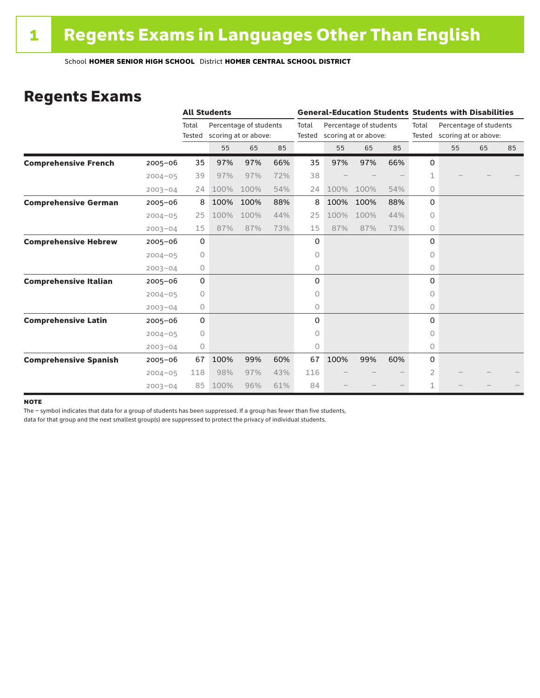### Regents Exams

|                              |             |                 | <b>All Students</b> |                                                |     |       | <b>General-Education Students Students with Disabilities</b> |                                                       |     |             |                                                       |    |    |  |
|------------------------------|-------------|-----------------|---------------------|------------------------------------------------|-----|-------|--------------------------------------------------------------|-------------------------------------------------------|-----|-------------|-------------------------------------------------------|----|----|--|
|                              |             | Total<br>Tested |                     | Percentage of students<br>scoring at or above: |     | Total |                                                              | Percentage of students<br>Tested scoring at or above: |     | Total       | Percentage of students<br>Tested scoring at or above: |    |    |  |
|                              |             |                 | 55                  | 65                                             | 85  |       | 55                                                           | 65                                                    | 85  |             | 55                                                    | 65 | 85 |  |
| <b>Comprehensive French</b>  | $2005 - 06$ | 35              | 97%                 | 97%                                            | 66% | 35    | 97%                                                          | 97%                                                   | 66% | 0           |                                                       |    |    |  |
|                              | $2004 - 05$ | 39              | 97%                 | 97%                                            | 72% | 38    |                                                              |                                                       |     | 1           |                                                       |    |    |  |
|                              | $2003 - 04$ | 24              | 100%                | 100%                                           | 54% | 24    | 100%                                                         | 100%                                                  | 54% | $\circ$     |                                                       |    |    |  |
| <b>Comprehensive German</b>  | $2005 - 06$ | 8               | 100%                | 100%                                           | 88% | 8     | 100%                                                         | 100%                                                  | 88% | $\mathbf 0$ |                                                       |    |    |  |
|                              | $2004 - 05$ | 25              | 100%                | 100%                                           | 44% | 25    | 100%                                                         | 100%                                                  | 44% | $\circ$     |                                                       |    |    |  |
|                              | $2003 - 04$ | 15              | 87%                 | 87%                                            | 73% | 15    | 87%                                                          | 87%                                                   | 73% | 0           |                                                       |    |    |  |
| <b>Comprehensive Hebrew</b>  | $2005 - 06$ | $\mathbf 0$     |                     |                                                |     | 0     |                                                              |                                                       |     | 0           |                                                       |    |    |  |
|                              | $2004 - 05$ | $\circ$         |                     |                                                |     | 0     |                                                              |                                                       |     | $\Omega$    |                                                       |    |    |  |
|                              | $2003 - 04$ | 0               |                     |                                                |     | 0     |                                                              |                                                       |     | 0           |                                                       |    |    |  |
| <b>Comprehensive Italian</b> | $2005 - 06$ | $\mathbf 0$     |                     |                                                |     | 0     |                                                              |                                                       |     | 0           |                                                       |    |    |  |
|                              | $2004 - 05$ | 0               |                     |                                                |     | 0     |                                                              |                                                       |     | $\Omega$    |                                                       |    |    |  |
|                              | $2003 - 04$ | 0               |                     |                                                |     | 0     |                                                              |                                                       |     | $\circ$     |                                                       |    |    |  |
| <b>Comprehensive Latin</b>   | $2005 - 06$ | $\mathbf 0$     |                     |                                                |     | 0     |                                                              |                                                       |     | 0           |                                                       |    |    |  |
|                              | $2004 - 05$ | $\circ$         |                     |                                                |     | 0     |                                                              |                                                       |     | $\Omega$    |                                                       |    |    |  |
|                              | $2003 - 04$ | 0               |                     |                                                |     | 0     |                                                              |                                                       |     | 0           |                                                       |    |    |  |
| <b>Comprehensive Spanish</b> | $2005 - 06$ | 67              | 100%                | 99%                                            | 60% | 67    | 100%                                                         | 99%                                                   | 60% | 0           |                                                       |    |    |  |
|                              | $2004 - 05$ | 118             | 98%                 | 97%                                            | 43% | 116   |                                                              |                                                       |     | 2           |                                                       |    |    |  |
|                              | $2003 - 04$ | 85              | 100%                | 96%                                            | 61% | 84    |                                                              |                                                       |     | 1           |                                                       |    |    |  |

#### **NOTE**

The – symbol indicates that data for a group of students has been suppressed. If a group has fewer than five students,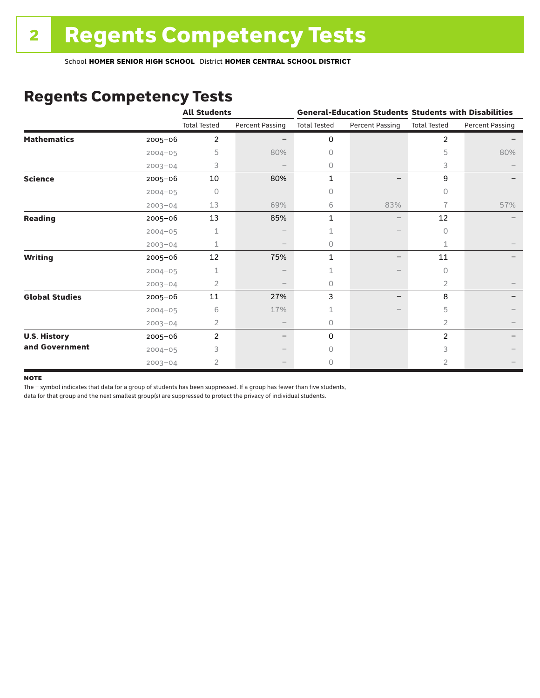### Regents Competency Tests

|                       |             | <b>All Students</b> |                        |                     |                        | <b>General-Education Students Students with Disabilities</b> |                        |  |
|-----------------------|-------------|---------------------|------------------------|---------------------|------------------------|--------------------------------------------------------------|------------------------|--|
|                       |             | <b>Total Tested</b> | <b>Percent Passing</b> | <b>Total Tested</b> | <b>Percent Passing</b> | <b>Total Tested</b>                                          | <b>Percent Passing</b> |  |
| <b>Mathematics</b>    | $2005 - 06$ | $\overline{c}$      |                        | 0                   |                        | $\overline{c}$                                               |                        |  |
|                       | $2004 - 05$ | 5                   | 80%                    | 0                   |                        | 5                                                            | 80%                    |  |
|                       | $2003 - 04$ | 3                   |                        | 0                   |                        | 3                                                            |                        |  |
| <b>Science</b>        | 2005-06     | 10                  | 80%                    | 1                   |                        | 9                                                            |                        |  |
|                       | $2004 - 05$ | 0                   |                        | 0                   |                        | 0                                                            |                        |  |
|                       | $2003 - 04$ | 13                  | 69%                    | 6                   | 83%                    | 7                                                            | 57%                    |  |
| <b>Reading</b>        | 2005-06     | 13                  | 85%                    | 1                   |                        | 12                                                           |                        |  |
|                       | $2004 - 05$ | 1                   |                        |                     |                        | $\circ$                                                      |                        |  |
|                       | $2003 - 04$ | $\mathbf 1$         |                        | 0                   |                        | 1                                                            |                        |  |
| <b>Writing</b>        | 2005-06     | 12                  | 75%                    | 1                   |                        | 11                                                           |                        |  |
|                       | $2004 - 05$ | 1                   |                        | 1                   |                        | $\bigcap$                                                    |                        |  |
|                       | $2003 - 04$ | 2                   |                        | 0                   |                        | 2                                                            |                        |  |
| <b>Global Studies</b> | 2005-06     | 11                  | 27%                    | 3                   |                        | 8                                                            |                        |  |
|                       | $2004 - 05$ | 6                   | 17%                    |                     |                        | 5                                                            |                        |  |
|                       | $2003 - 04$ | 2                   |                        | 0                   |                        | 2                                                            |                        |  |
| <b>U.S. History</b>   | 2005-06     | $\overline{c}$      |                        | 0                   |                        | $\overline{c}$                                               |                        |  |
| and Government        | $2004 - 05$ | 3                   |                        | $\bigcap$           |                        | 3                                                            |                        |  |
|                       | $2003 - 04$ | $\overline{2}$      |                        | 0                   |                        | 2                                                            |                        |  |

#### **NOTE**

The – symbol indicates that data for a group of students has been suppressed. If a group has fewer than five students,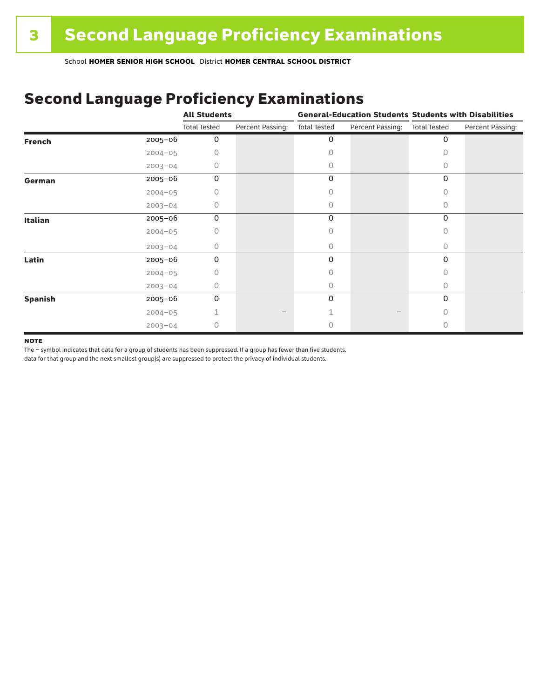## Second Language Proficiency Examinations

|                |             | <b>All Students</b> |                  | <b>General-Education Students Students with Disabilities</b> |                  |                     |                  |
|----------------|-------------|---------------------|------------------|--------------------------------------------------------------|------------------|---------------------|------------------|
|                |             | <b>Total Tested</b> | Percent Passing: | <b>Total Tested</b>                                          | Percent Passing: | <b>Total Tested</b> | Percent Passing: |
| <b>French</b>  | 2005-06     | 0                   |                  | 0                                                            |                  | 0                   |                  |
|                | $2004 - 05$ | 0                   |                  | Ω                                                            |                  |                     |                  |
|                | $2003 - 04$ | <sup>n</sup>        |                  | 0                                                            |                  | Ω                   |                  |
| German         | 2005-06     | 0                   |                  | 0                                                            |                  | 0                   |                  |
|                | $2004 - 05$ | 0                   |                  |                                                              |                  | 0                   |                  |
|                | $2003 - 04$ | 0                   |                  | 0                                                            |                  | 0                   |                  |
| <b>Italian</b> | 2005-06     | 0                   |                  | 0                                                            |                  | 0                   |                  |
|                | $2004 - 05$ | 0                   |                  | Ω                                                            |                  |                     |                  |
|                | $2003 - 04$ | 0                   |                  | 0                                                            |                  | 0                   |                  |
| Latin          | 2005-06     | $\Omega$            |                  | $\Omega$                                                     |                  | 0                   |                  |
|                | $2004 - 05$ | 0                   |                  |                                                              |                  |                     |                  |
|                | $2003 - 04$ | 0                   |                  | 0                                                            |                  | Ω                   |                  |
| <b>Spanish</b> | 2005-06     | 0                   |                  | 0                                                            |                  | 0                   |                  |
|                | $2004 - 05$ |                     |                  |                                                              |                  | Ω                   |                  |
|                | $2003 - 04$ | 0                   |                  |                                                              |                  |                     |                  |

#### **NOTE**

The – symbol indicates that data for a group of students has been suppressed. If a group has fewer than five students,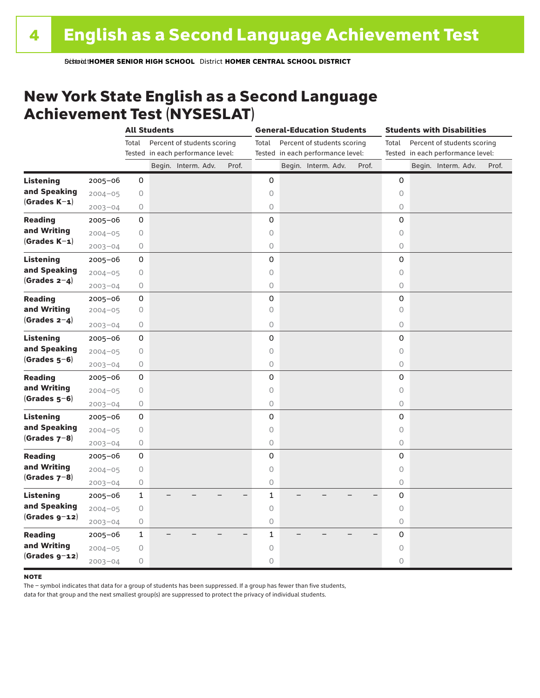### New York State English as a Second Language Achievement Test (NYSESLAT)

|                                 |             | <b>All Students</b> |  |                                                          | <b>General-Education Students</b> |              |  |                                                          | <b>Students with Disabilities</b> |         |  |                                                          |       |
|---------------------------------|-------------|---------------------|--|----------------------------------------------------------|-----------------------------------|--------------|--|----------------------------------------------------------|-----------------------------------|---------|--|----------------------------------------------------------|-------|
|                                 |             | Total               |  | Percent of students scoring                              |                                   | Total        |  | Percent of students scoring                              |                                   | Total   |  | Percent of students scoring                              |       |
|                                 |             |                     |  | Tested in each performance level:<br>Begin. Interm. Adv. | Prof.                             |              |  | Tested in each performance level:<br>Begin. Interm. Adv. | Prof.                             |         |  | Tested in each performance level:<br>Begin. Interm. Adv. | Prof. |
| <b>Listening</b>                |             |                     |  |                                                          |                                   |              |  |                                                          |                                   |         |  |                                                          |       |
| and Speaking                    | 2005-06     | 0                   |  |                                                          |                                   | 0            |  |                                                          |                                   | 0       |  |                                                          |       |
| $(Grades K-1)$                  | $2004 - 05$ | 0                   |  |                                                          |                                   | 0            |  |                                                          |                                   | 0       |  |                                                          |       |
|                                 | $2003 - 04$ | 0                   |  |                                                          |                                   | 0            |  |                                                          |                                   | 0       |  |                                                          |       |
| <b>Reading</b><br>and Writing   | $2005 - 06$ | 0                   |  |                                                          |                                   | 0            |  |                                                          |                                   | 0       |  |                                                          |       |
| $(Grades K-1)$                  | $2004 - 05$ | 0                   |  |                                                          |                                   | $\circ$      |  |                                                          |                                   | $\circ$ |  |                                                          |       |
|                                 | $2003 - 04$ | 0                   |  |                                                          |                                   | $\circ$      |  |                                                          |                                   | 0       |  |                                                          |       |
| <b>Listening</b>                | $2005 - 06$ | 0                   |  |                                                          |                                   | 0            |  |                                                          |                                   | 0       |  |                                                          |       |
| and Speaking<br>(Grades $2-4$ ) | $2004 - 05$ | 0                   |  |                                                          |                                   | 0            |  |                                                          |                                   | 0       |  |                                                          |       |
|                                 | $2003 - 04$ | 0                   |  |                                                          |                                   | $\bigcirc$   |  |                                                          |                                   | $\circ$ |  |                                                          |       |
| <b>Reading</b>                  | 2005-06     | 0                   |  |                                                          |                                   | 0            |  |                                                          |                                   | 0       |  |                                                          |       |
| and Writing                     | $2004 - 05$ | 0                   |  |                                                          |                                   | 0            |  |                                                          |                                   | 0       |  |                                                          |       |
| (Grades $2-4$ )                 | $2003 - 04$ | 0                   |  |                                                          |                                   | $\circ$      |  |                                                          |                                   | 0       |  |                                                          |       |
| Listening                       | $2005 - 06$ | 0                   |  |                                                          |                                   | 0            |  |                                                          |                                   | 0       |  |                                                          |       |
| and Speaking                    | $2004 - 05$ | 0                   |  |                                                          |                                   | $\circ$      |  |                                                          |                                   | $\circ$ |  |                                                          |       |
| $(Grades 5-6)$                  | $2003 - 04$ | 0                   |  |                                                          |                                   | $\circ$      |  |                                                          |                                   | 0       |  |                                                          |       |
| <b>Reading</b>                  | 2005-06     | 0                   |  |                                                          |                                   | 0            |  |                                                          |                                   | 0       |  |                                                          |       |
| and Writing                     | $2004 - 05$ | 0                   |  |                                                          |                                   | $\circ$      |  |                                                          |                                   | $\circ$ |  |                                                          |       |
| $(Grades 5-6)$                  | $2003 - 04$ | $\mathsf O$         |  |                                                          |                                   | $\bigcirc$   |  |                                                          |                                   | $\circ$ |  |                                                          |       |
| <b>Listening</b>                | 2005-06     | 0                   |  |                                                          |                                   | 0            |  |                                                          |                                   | 0       |  |                                                          |       |
| and Speaking                    | $2004 - 05$ | $\mathsf O$         |  |                                                          |                                   | $\circ$      |  |                                                          |                                   | $\circ$ |  |                                                          |       |
| (Grades $7-8$ )                 | $2003 - 04$ | 0                   |  |                                                          |                                   | 0            |  |                                                          |                                   | 0       |  |                                                          |       |
| <b>Reading</b>                  | $2005 - 06$ | 0                   |  |                                                          |                                   | 0            |  |                                                          |                                   | 0       |  |                                                          |       |
| and Writing                     | $2004 - 05$ | 0                   |  |                                                          |                                   | $\circ$      |  |                                                          |                                   | $\circ$ |  |                                                          |       |
| $(Grades 7-8)$                  | $2003 - 04$ | 0                   |  |                                                          |                                   | $\bigcirc$   |  |                                                          |                                   | $\circ$ |  |                                                          |       |
| <b>Listening</b>                | $2005 - 06$ | $\mathbf{1}$        |  |                                                          |                                   | $\mathbf{1}$ |  |                                                          |                                   | 0       |  |                                                          |       |
| and Speaking                    | $2004 - 05$ | 0                   |  |                                                          |                                   | $\circ$      |  |                                                          |                                   | $\circ$ |  |                                                          |       |
| $(Grades g-12)$                 | $2003 - 04$ | 0                   |  |                                                          |                                   | $\bigcirc$   |  |                                                          |                                   | 0       |  |                                                          |       |
| <b>Reading</b>                  | $2005 - 06$ | $\mathbf 1$         |  |                                                          |                                   | $\mathbf{1}$ |  |                                                          |                                   | 0       |  |                                                          |       |
| and Writing                     | $2004 - 05$ | 0                   |  |                                                          |                                   | $\circ$      |  |                                                          |                                   | 0       |  |                                                          |       |
| $(Grades g-12)$                 |             |                     |  |                                                          |                                   | 0            |  |                                                          |                                   | 0       |  |                                                          |       |
|                                 | $2003 - 04$ | 0                   |  |                                                          |                                   |              |  |                                                          |                                   |         |  |                                                          |       |

#### **NOTE**

The – symbol indicates that data for a group of students has been suppressed. If a group has fewer than five students,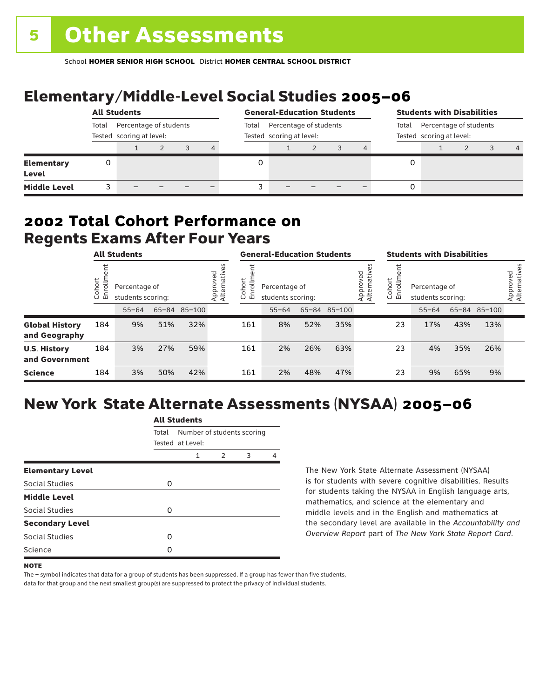# Elementary/Middle-Level Social Studies 2005–06

|                            | <b>All Students</b>                                         |  |  |       |                                                    | <b>General-Education Students</b> |  |  |       |                                                    |   | <b>Students with Disabilities</b> |  |  |                |  |
|----------------------------|-------------------------------------------------------------|--|--|-------|----------------------------------------------------|-----------------------------------|--|--|-------|----------------------------------------------------|---|-----------------------------------|--|--|----------------|--|
|                            | Percentage of students<br>Total<br>Tested scoring at level: |  |  | Total | Percentage of students<br>Tested scoring at level: |                                   |  |  | Total | Percentage of students<br>Tested scoring at level: |   |                                   |  |  |                |  |
|                            |                                                             |  |  |       | 4                                                  |                                   |  |  |       |                                                    |   |                                   |  |  | $\overline{4}$ |  |
| <b>Elementary</b><br>Level | 0                                                           |  |  |       |                                                    |                                   |  |  |       |                                                    | 0 |                                   |  |  |                |  |
| <b>Middle Level</b>        |                                                             |  |  |       |                                                    |                                   |  |  |       |                                                    | 0 |                                   |  |  |                |  |

### Regents Exams After Four Years 2002 **Total Cohort Performance on**

|                                        | <b>All Students</b>        |                                    |     |                         |                      | <b>General-Education Students</b>  |           |     |                         |                  | <b>Students with Disabilities</b>  |           |     |                          |  |
|----------------------------------------|----------------------------|------------------------------------|-----|-------------------------|----------------------|------------------------------------|-----------|-----|-------------------------|------------------|------------------------------------|-----------|-----|--------------------------|--|
|                                        | ohort<br>S<br>$\circ$<br>ш | Percentage of<br>students scoring: |     | Approved<br>Alternative | Cohort<br>rolln<br>띧 | Percentage of<br>students scoring: |           |     | Approved<br>Alternative | Cohort<br>5<br>문 | Percentage of<br>students scoring: |           |     | Approved<br>Alternatives |  |
|                                        |                            | $55 - 64$                          |     | 65-84 85-100            |                      |                                    | $55 - 64$ |     | 65-84 85-100            |                  |                                    | $55 - 64$ |     | 65-84 85-100             |  |
| <b>Global History</b><br>and Geography | 184                        | 9%                                 | 51% | 32%                     |                      | 161                                | 8%        | 52% | 35%                     |                  | 23                                 | 17%       | 43% | 13%                      |  |
| <b>U.S. History</b><br>and Government  | 184                        | 3%                                 | 27% | 59%                     |                      | 161                                | 2%        | 26% | 63%                     |                  | 23                                 | 4%        | 35% | 26%                      |  |
| <b>Science</b>                         | 184                        | 3%                                 | 50% | 42%                     |                      | 161                                | 2%        | 48% | 47%                     |                  | 23                                 | 9%        | 65% | 9%                       |  |

## New York State Alternate Assessments (NYSAA) 2005–06

|                         |       | All Students                                   |               |   |   |  |  |  |  |  |  |
|-------------------------|-------|------------------------------------------------|---------------|---|---|--|--|--|--|--|--|
|                         | Total | Number of students scoring<br>Tested at Level: |               |   |   |  |  |  |  |  |  |
|                         |       | 1                                              | $\mathcal{P}$ | 3 | Δ |  |  |  |  |  |  |
| <b>Elementary Level</b> |       |                                                |               |   |   |  |  |  |  |  |  |
| Social Studies          | 0     |                                                |               |   |   |  |  |  |  |  |  |
| <b>Middle Level</b>     |       |                                                |               |   |   |  |  |  |  |  |  |
| <b>Social Studies</b>   | O     |                                                |               |   |   |  |  |  |  |  |  |
| <b>Secondary Level</b>  |       |                                                |               |   |   |  |  |  |  |  |  |
| Social Studies          | ი     |                                                |               |   |   |  |  |  |  |  |  |
| Science                 | Ω     |                                                |               |   |   |  |  |  |  |  |  |
|                         |       |                                                |               |   |   |  |  |  |  |  |  |

All Canada

The New York State Alternate Assessment (NYSAA) is for students with severe cognitive disabilities. Results for students taking the NYSAA in English language arts, mathematics, and science at the elementary and middle levels and in the English and mathematics at the secondary level are available in the *Accountability and Overview Report* part of *The New York State Report Card*.

The – symbol indicates that data for a group of students has been suppressed. If a group has fewer than five students,

**NOTE**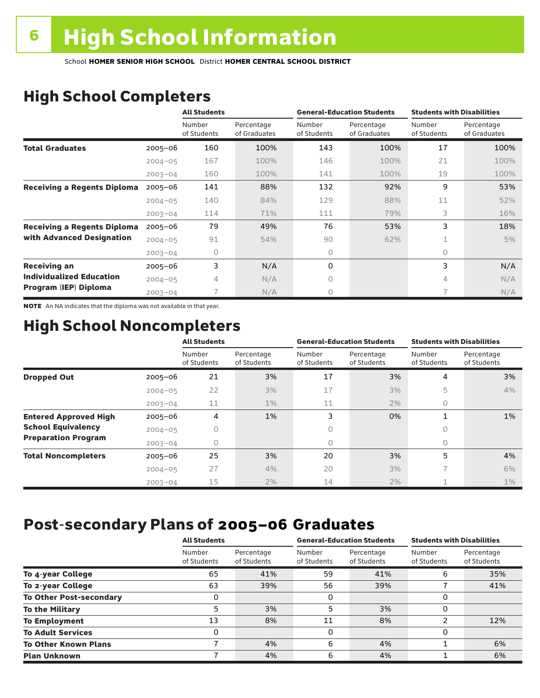# High School Completers

|                                    |             | <b>All Students</b>   |                            |                       | <b>General-Education Students</b> | <b>Students with Disabilities</b> |                            |  |
|------------------------------------|-------------|-----------------------|----------------------------|-----------------------|-----------------------------------|-----------------------------------|----------------------------|--|
|                                    |             | Number<br>of Students | Percentage<br>of Graduates | Number<br>of Students | Percentage<br>of Graduates        | Number<br>of Students             | Percentage<br>of Graduates |  |
| <b>Total Graduates</b>             | $2005 - 06$ | 160                   | 100%                       | 143                   | 100%                              | 17                                | 100%                       |  |
|                                    | $2004 - 05$ | 167                   | 100%                       | 146                   | 100%                              | 21                                | 100%                       |  |
|                                    | $2003 - 04$ | 160                   | 100%                       | 141                   | 100%                              | 19                                | 100%                       |  |
| <b>Receiving a Regents Diploma</b> | $2005 - 06$ | 141                   | 88%                        | 132                   | 92%                               | 9                                 | 53%                        |  |
|                                    | $2004 - 05$ | 140                   | 84%                        | 129                   | 88%                               | 11                                | 52%                        |  |
|                                    | $2003 - 04$ | 114                   | 71%                        | 111                   | 79%                               | 3                                 | 16%                        |  |
| <b>Receiving a Regents Diploma</b> | $2005 - 06$ | 79                    | 49%                        | 76                    | 53%                               | 3                                 | 18%                        |  |
| with Advanced Designation          | $2004 - 05$ | 91                    | 54%                        | 90                    | 62%                               |                                   | 5%                         |  |
|                                    | $2003 - 04$ | 0                     |                            | 0                     |                                   | $\circ$                           |                            |  |
| <b>Receiving an</b>                | $2005 - 06$ | 3                     | N/A                        | 0                     |                                   | 3                                 | N/A                        |  |
| <b>Individualized Education</b>    | $2004 - 05$ | 4                     | N/A                        | 0                     |                                   | 4                                 | N/A                        |  |
| Program (IEP) Diploma              | $2003 - 04$ |                       | N/A                        | 0                     |                                   | 7                                 | N/A                        |  |

NOTE An NA indicates that the diploma was not available in that year.

### High School Noncompleters

|                              |             | <b>All Students</b>   |                           |                       | <b>General-Education Students</b> | <b>Students with Disabilities</b> |                           |  |
|------------------------------|-------------|-----------------------|---------------------------|-----------------------|-----------------------------------|-----------------------------------|---------------------------|--|
|                              |             | Number<br>of Students | Percentage<br>of Students | Number<br>of Students | Percentage<br>of Students         | Number<br>of Students             | Percentage<br>of Students |  |
| <b>Dropped Out</b>           | $2005 - 06$ | 21                    | 3%                        | 17                    | 3%                                | 4                                 | 3%                        |  |
|                              | $2004 - 05$ | 22                    | 3%                        | 17                    | 3%                                | 5                                 | 4%                        |  |
|                              | $2003 - 04$ | 11                    | $1\%$                     | 11                    | 2%                                | 0                                 |                           |  |
| <b>Entered Approved High</b> | $2005 - 06$ | 4                     | 1%                        | 3                     | 0%                                | 1                                 | $1\%$                     |  |
| <b>School Equivalency</b>    | $2004 - 05$ | 0                     |                           | 0                     |                                   | Ω                                 |                           |  |
| <b>Preparation Program</b>   | $2003 - 04$ | 0                     |                           | 0                     |                                   | Ω                                 |                           |  |
| <b>Total Noncompleters</b>   | $2005 - 06$ | 25                    | 3%                        | 20                    | 3%                                | 5                                 | 4%                        |  |
|                              | $2004 - 05$ | 27                    | 4%                        | 20                    | 3%                                | 7                                 | 6%                        |  |
|                              | $2003 - 04$ | 15                    | $2\%$                     | 14                    | 2%                                |                                   | $1\%$                     |  |

## Post-secondary Plans of 2005–06 **Graduates**

|                                | <b>All Students</b>   |                           |                       | <b>General-Education Students</b> | <b>Students with Disabilities</b> |                           |  |
|--------------------------------|-----------------------|---------------------------|-----------------------|-----------------------------------|-----------------------------------|---------------------------|--|
|                                | Number<br>of Students | Percentage<br>of Students | Number<br>of Students | Percentage<br>of Students         | Number<br>of Students             | Percentage<br>of Students |  |
| To 4-year College              | 65                    | 41%                       | 59                    | 41%                               | 6                                 | 35%                       |  |
| To 2-year College              | 63                    | 39%                       | 56                    | 39%                               |                                   | 41%                       |  |
| <b>To Other Post-secondary</b> |                       |                           | 0                     |                                   | 0                                 |                           |  |
| <b>To the Military</b>         | 5                     | 3%                        | 5                     | 3%                                | 0                                 |                           |  |
| <b>To Employment</b>           | 13                    | 8%                        | 11                    | 8%                                | ຳ                                 | 12%                       |  |
| <b>To Adult Services</b>       |                       |                           | 0                     |                                   | 0                                 |                           |  |
| <b>To Other Known Plans</b>    |                       | 4%                        | 6                     | 4%                                |                                   | 6%                        |  |
| <b>Plan Unknown</b>            |                       | 4%                        | 6                     | 4%                                |                                   | 6%                        |  |